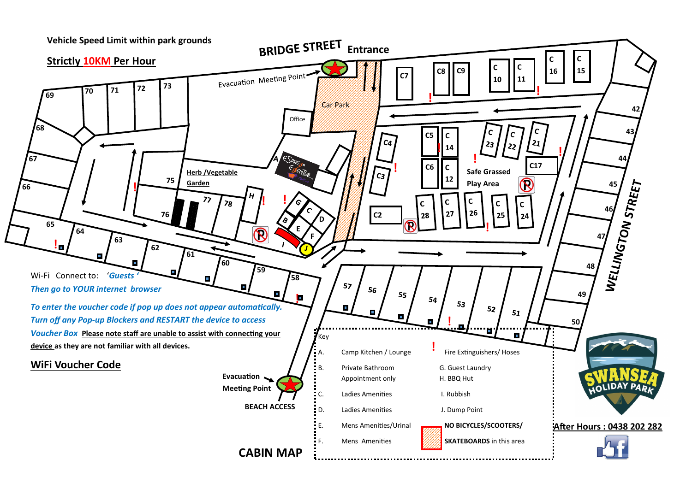